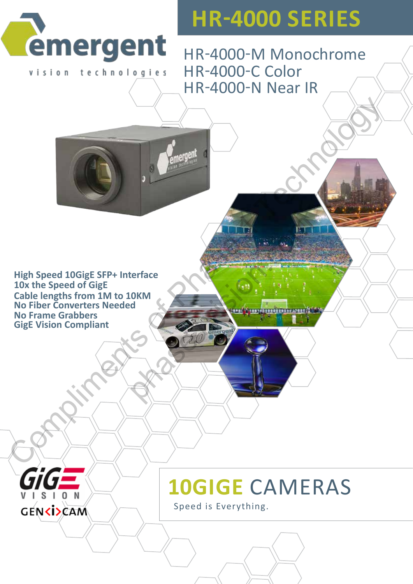

vision technologies

**HR-4000 Series**

HR-4000-M Monochrome HR-4000-C Color HR-4000-N Near IR

**GigE Vision Compliant High Speed 10GigE SFP+ Interface 10x the Speed of GigE Cable lengths from 1M to 10KM No Fiber Converters Needed No Frame Grabbers** High Speed 10GigE SFP+ Interface<br>10x the Speed of GigE<br>10x the Speed of GigE<br>No Fiber Converters Needed<br>No Fiber Converters Needed<br>New York Compliant<br>GigE Vision Compliant<br>Compliant perface<br>OKM<br>COMM<br>COMMONS COMMONS COMMUNISION.

 $S<sub>1</sub>$ 

**GENCISCAM** 



Speed is Everything.